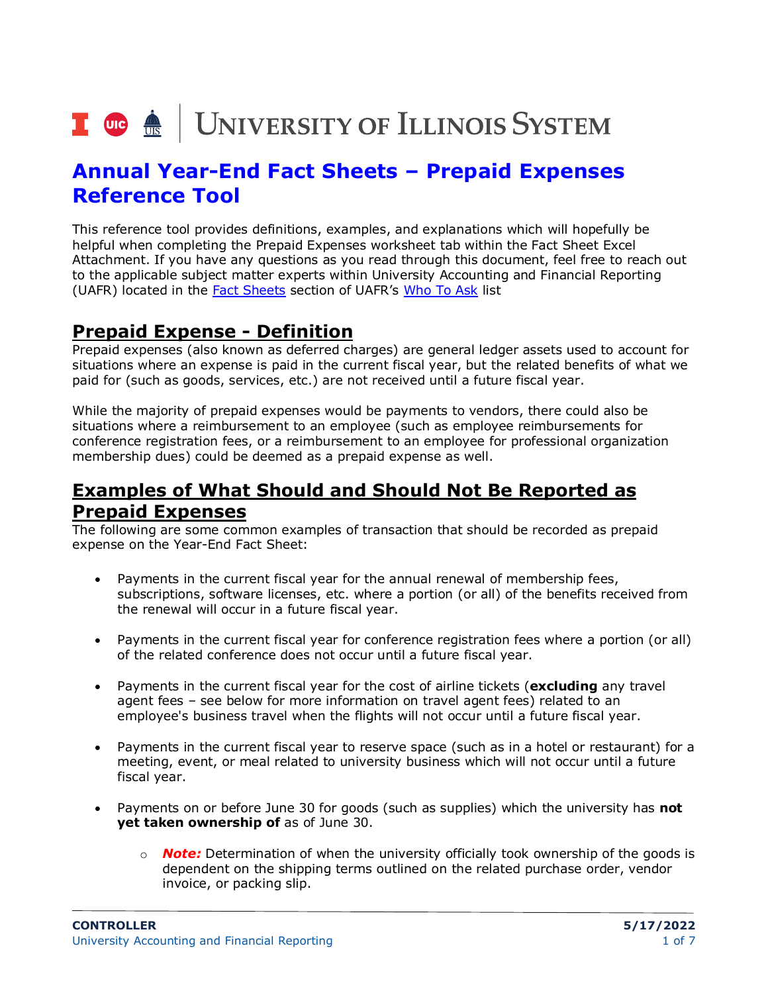# I **the detection of the SCS** SYSTEM

## **Annual Year-End Fact Sheets – Prepaid Expenses Reference Tool**

This reference tool provides definitions, examples, and explanations which will hopefully be helpful when completing the Prepaid Expenses worksheet tab within the Fact Sheet Excel Attachment. If you have any questions as you read through this document, feel free to reach out to the applicable subject matter experts within University Accounting and Financial Reporting (UAFR) located in the [Fact Sheets](https://www.obfs.uillinois.edu/accounting-financial-reporting/who-to-ask/types-questions#fact-sheets) section of UAFR's [Who To Ask](https://www.obfs.uillinois.edu/accounting-financial-reporting/who-to-ask/types-questions) list

## **Prepaid Expense - Definition**

Prepaid expenses (also known as deferred charges) are general ledger assets used to account for situations where an expense is paid in the current fiscal year, but the related benefits of what we paid for (such as goods, services, etc.) are not received until a future fiscal year.

While the majority of prepaid expenses would be payments to vendors, there could also be situations where a reimbursement to an employee (such as employee reimbursements for conference registration fees, or a reimbursement to an employee for professional organization membership dues) could be deemed as a prepaid expense as well.

## **Examples of What Should and Should Not Be Reported as Prepaid Expenses**

The following are some common examples of transaction that should be recorded as prepaid expense on the Year-End Fact Sheet:

- Payments in the current fiscal year for the annual renewal of membership fees, subscriptions, software licenses, etc. where a portion (or all) of the benefits received from the renewal will occur in a future fiscal year.
- Payments in the current fiscal year for conference registration fees where a portion (or all) of the related conference does not occur until a future fiscal year.
- Payments in the current fiscal year for the cost of airline tickets (**excluding** any travel agent fees – see below for more information on travel agent fees) related to an employee's business travel when the flights will not occur until a future fiscal year.
- Payments in the current fiscal year to reserve space (such as in a hotel or restaurant) for a meeting, event, or meal related to university business which will not occur until a future fiscal year.
- Payments on or before June 30 for goods (such as supplies) which the university has **not yet taken ownership of** as of June 30.
	- o *Note:* Determination of when the university officially took ownership of the goods is dependent on the shipping terms outlined on the related purchase order, vendor invoice, or packing slip.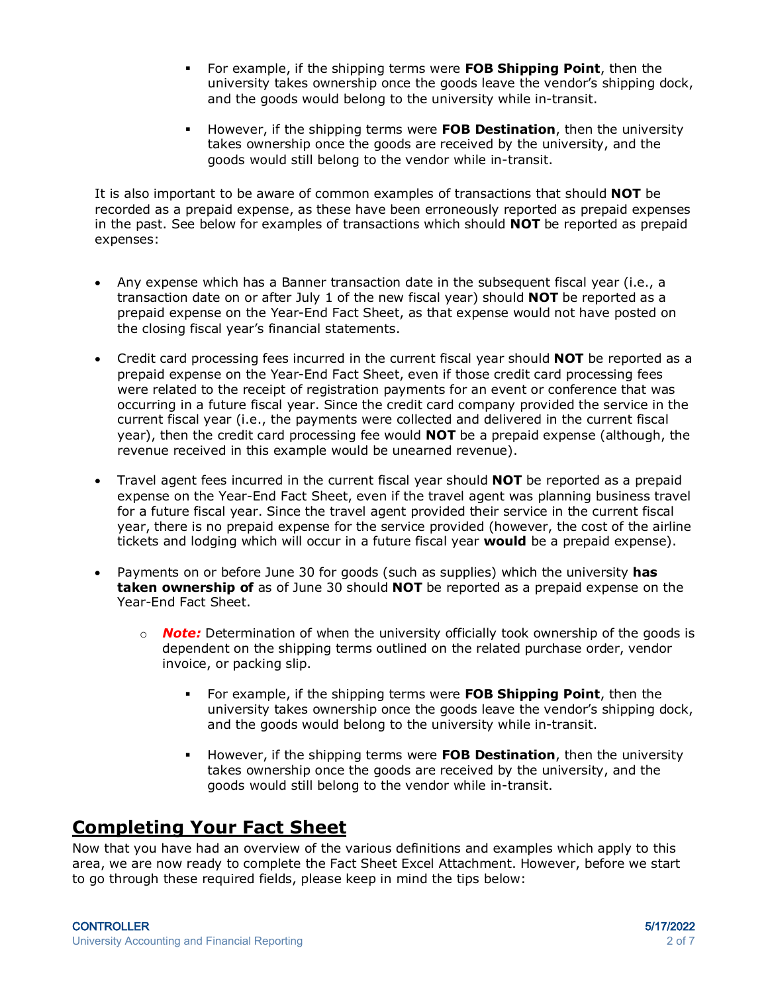- For example, if the shipping terms were **FOB Shipping Point**, then the university takes ownership once the goods leave the vendor's shipping dock, and the goods would belong to the university while in-transit.
- However, if the shipping terms were **FOB Destination**, then the university takes ownership once the goods are received by the university, and the goods would still belong to the vendor while in-transit.

It is also important to be aware of common examples of transactions that should **NOT** be recorded as a prepaid expense, as these have been erroneously reported as prepaid expenses in the past. See below for examples of transactions which should **NOT** be reported as prepaid expenses:

- Any expense which has a Banner transaction date in the subsequent fiscal year (i.e., a transaction date on or after July 1 of the new fiscal year) should **NOT** be reported as a prepaid expense on the Year-End Fact Sheet, as that expense would not have posted on the closing fiscal year's financial statements.
- Credit card processing fees incurred in the current fiscal year should **NOT** be reported as a prepaid expense on the Year-End Fact Sheet, even if those credit card processing fees were related to the receipt of registration payments for an event or conference that was occurring in a future fiscal year. Since the credit card company provided the service in the current fiscal year (i.e., the payments were collected and delivered in the current fiscal year), then the credit card processing fee would **NOT** be a prepaid expense (although, the revenue received in this example would be unearned revenue).
- Travel agent fees incurred in the current fiscal year should **NOT** be reported as a prepaid expense on the Year-End Fact Sheet, even if the travel agent was planning business travel for a future fiscal year. Since the travel agent provided their service in the current fiscal year, there is no prepaid expense for the service provided (however, the cost of the airline tickets and lodging which will occur in a future fiscal year **would** be a prepaid expense).
- Payments on or before June 30 for goods (such as supplies) which the university **has taken ownership of** as of June 30 should **NOT** be reported as a prepaid expense on the Year-End Fact Sheet.
	- o *Note:* Determination of when the university officially took ownership of the goods is dependent on the shipping terms outlined on the related purchase order, vendor invoice, or packing slip.
		- For example, if the shipping terms were **FOB Shipping Point**, then the university takes ownership once the goods leave the vendor's shipping dock, and the goods would belong to the university while in-transit.
		- However, if the shipping terms were **FOB Destination**, then the university takes ownership once the goods are received by the university, and the goods would still belong to the vendor while in-transit.

### **Completing Your Fact Sheet**

Now that you have had an overview of the various definitions and examples which apply to this area, we are now ready to complete the Fact Sheet Excel Attachment. However, before we start to go through these required fields, please keep in mind the tips below: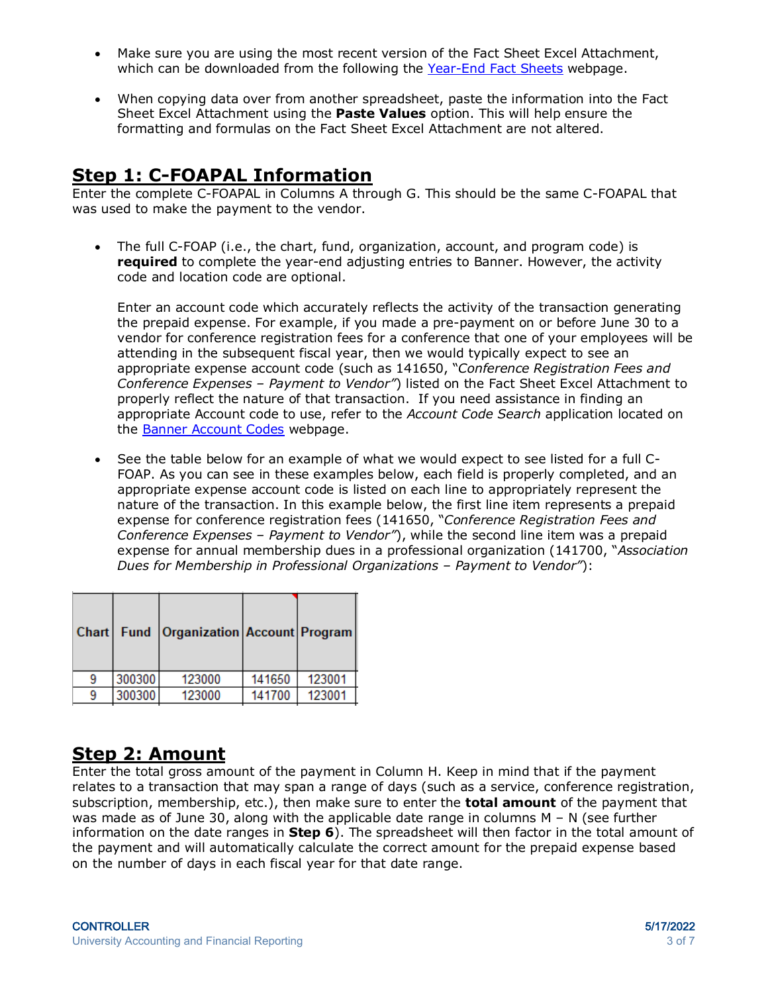- Make sure you are using the most recent version of the Fact Sheet Excel Attachment, which can be downloaded from the following the [Year-End Fact Sheets](https://www.obfs.uillinois.edu/accounting-financial-reporting/year-end-procedures/fact-sheets/) webpage.
- When copying data over from another spreadsheet, paste the information into the Fact Sheet Excel Attachment using the **Paste Values** option. This will help ensure the formatting and formulas on the Fact Sheet Excel Attachment are not altered.

## **Step 1: C-FOAPAL Information**

Enter the complete C-FOAPAL in Columns A through G. This should be the same C-FOAPAL that was used to make the payment to the vendor.

• The full C-FOAP (i.e., the chart, fund, organization, account, and program code) is **required** to complete the year-end adjusting entries to Banner. However, the activity code and location code are optional.

Enter an account code which accurately reflects the activity of the transaction generating the prepaid expense. For example, if you made a pre-payment on or before June 30 to a vendor for conference registration fees for a conference that one of your employees will be attending in the subsequent fiscal year, then we would typically expect to see an appropriate expense account code (such as 141650, "*Conference Registration Fees and Conference Expenses – Payment to Vendor"*) listed on the Fact Sheet Excel Attachment to properly reflect the nature of that transaction. If you need assistance in finding an appropriate Account code to use, refer to the *Account Code Search* application located on the [Banner Account Codes](https://www.obfs.uillinois.edu/accounting-financial-reporting/banner-account-codes/) webpage.

• See the table below for an example of what we would expect to see listed for a full C-FOAP. As you can see in these examples below, each field is properly completed, and an appropriate expense account code is listed on each line to appropriately represent the nature of the transaction. In this example below, the first line item represents a prepaid expense for conference registration fees (141650, "*Conference Registration Fees and Conference Expenses – Payment to Vendor"*), while the second line item was a prepaid expense for annual membership dues in a professional organization (141700, "*Association Dues for Membership in Professional Organizations – Payment to Vendor"*):

|        | Chart   Fund   Organization   Account   Program |        |        |
|--------|-------------------------------------------------|--------|--------|
| 300300 | 123000                                          | 141650 | 123001 |
| 300300 | 123000                                          | 141700 | 123001 |
|        |                                                 |        |        |

## **Step 2: Amount**

Enter the total gross amount of the payment in Column H. Keep in mind that if the payment relates to a transaction that may span a range of days (such as a service, conference registration, subscription, membership, etc.), then make sure to enter the **total amount** of the payment that was made as of June 30, along with the applicable date range in columns M – N (see further information on the date ranges in **Step 6**). The spreadsheet will then factor in the total amount of the payment and will automatically calculate the correct amount for the prepaid expense based on the number of days in each fiscal year for that date range.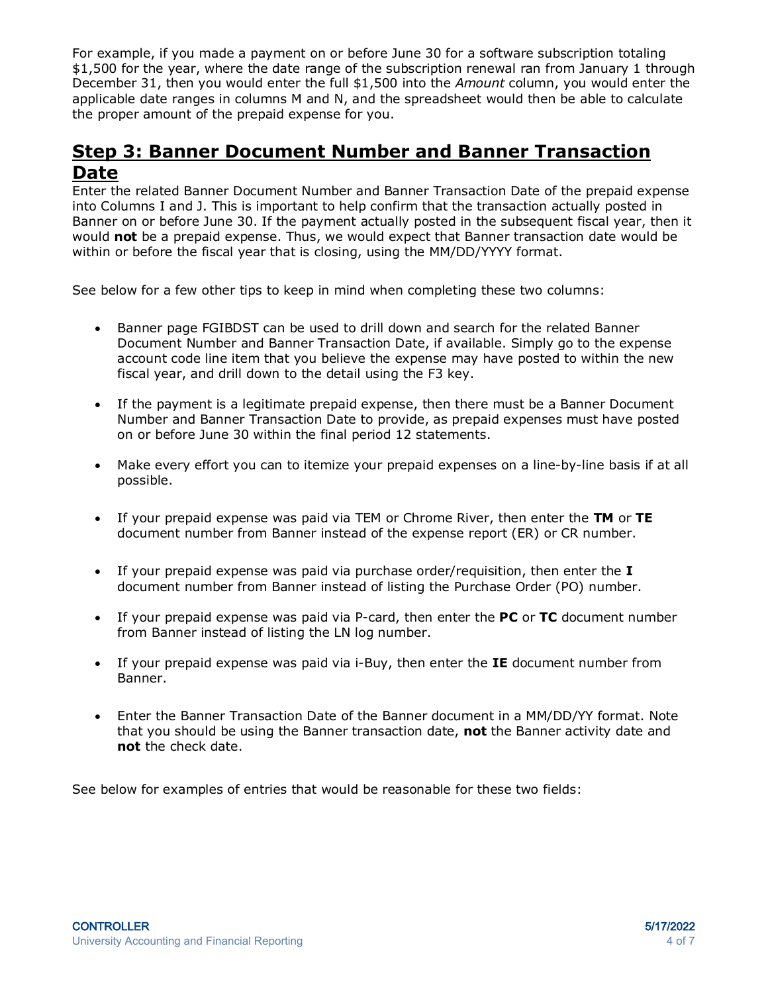For example, if you made a payment on or before June 30 for a software subscription totaling \$1,500 for the year, where the date range of the subscription renewal ran from January 1 through December 31, then you would enter the full \$1,500 into the *Amount* column, you would enter the applicable date ranges in columns M and N, and the spreadsheet would then be able to calculate the proper amount of the prepaid expense for you.

#### **Step 3: Banner Document Number and Banner Transaction Date**

Enter the related Banner Document Number and Banner Transaction Date of the prepaid expense into Columns I and J. This is important to help confirm that the transaction actually posted in Banner on or before June 30. If the payment actually posted in the subsequent fiscal year, then it would **not** be a prepaid expense. Thus, we would expect that Banner transaction date would be within or before the fiscal year that is closing, using the MM/DD/YYYY format.

See below for a few other tips to keep in mind when completing these two columns:

- Banner page FGIBDST can be used to drill down and search for the related Banner Document Number and Banner Transaction Date, if available. Simply go to the expense account code line item that you believe the expense may have posted to within the new fiscal year, and drill down to the detail using the F3 key.
- If the payment is a legitimate prepaid expense, then there must be a Banner Document Number and Banner Transaction Date to provide, as prepaid expenses must have posted on or before June 30 within the final period 12 statements.
- Make every effort you can to itemize your prepaid expenses on a line-by-line basis if at all possible.
- If your prepaid expense was paid via TEM or Chrome River, then enter the **TM** or **TE** document number from Banner instead of the expense report (ER) or CR number.
- If your prepaid expense was paid via purchase order/requisition, then enter the **I** document number from Banner instead of listing the Purchase Order (PO) number.
- If your prepaid expense was paid via P-card, then enter the **PC** or **TC** document number from Banner instead of listing the LN log number.
- If your prepaid expense was paid via i-Buy, then enter the **IE** document number from Banner.
- Enter the Banner Transaction Date of the Banner document in a MM/DD/YY format. Note that you should be using the Banner transaction date, **not** the Banner activity date and **not** the check date.

See below for examples of entries that would be reasonable for these two fields: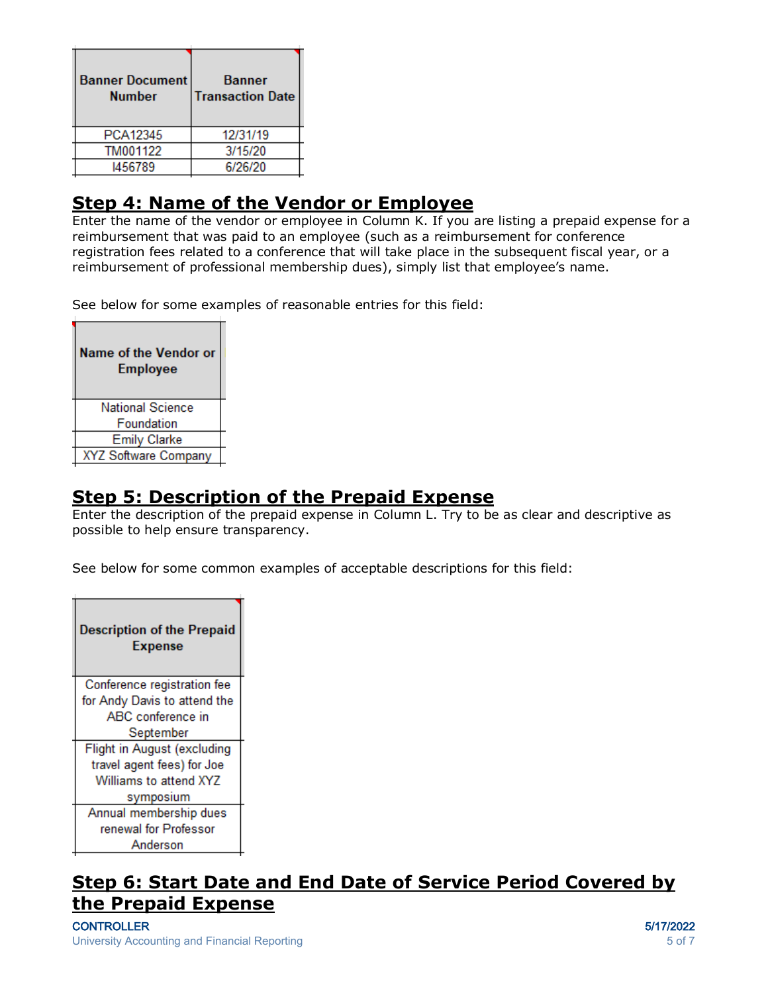| <b>Banner Document</b><br><b>Number</b> | <b>Banner</b><br><b>Transaction Date</b> |
|-----------------------------------------|------------------------------------------|
| PCA12345                                | 12/31/19                                 |
| TM001122                                | 3/15/20                                  |
| 1456789                                 | 6/26/20                                  |

## **Step 4: Name of the Vendor or Employee**

Enter the name of the vendor or employee in Column K. If you are listing a prepaid expense for a reimbursement that was paid to an employee (such as a reimbursement for conference registration fees related to a conference that will take place in the subsequent fiscal year, or a reimbursement of professional membership dues), simply list that employee's name.

See below for some examples of reasonable entries for this field:

| Name of the Vendor or<br><b>Employee</b> |
|------------------------------------------|
| National Science                         |
| Foundation                               |
| <b>Emily Clarke</b>                      |
| XYZ Software Company                     |

#### **Step 5: Description of the Prepaid Expense**

Enter the description of the prepaid expense in Column L. Try to be as clear and descriptive as possible to help ensure transparency.

See below for some common examples of acceptable descriptions for this field:



## **Step 6: Start Date and End Date of Service Period Covered by the Prepaid Expense**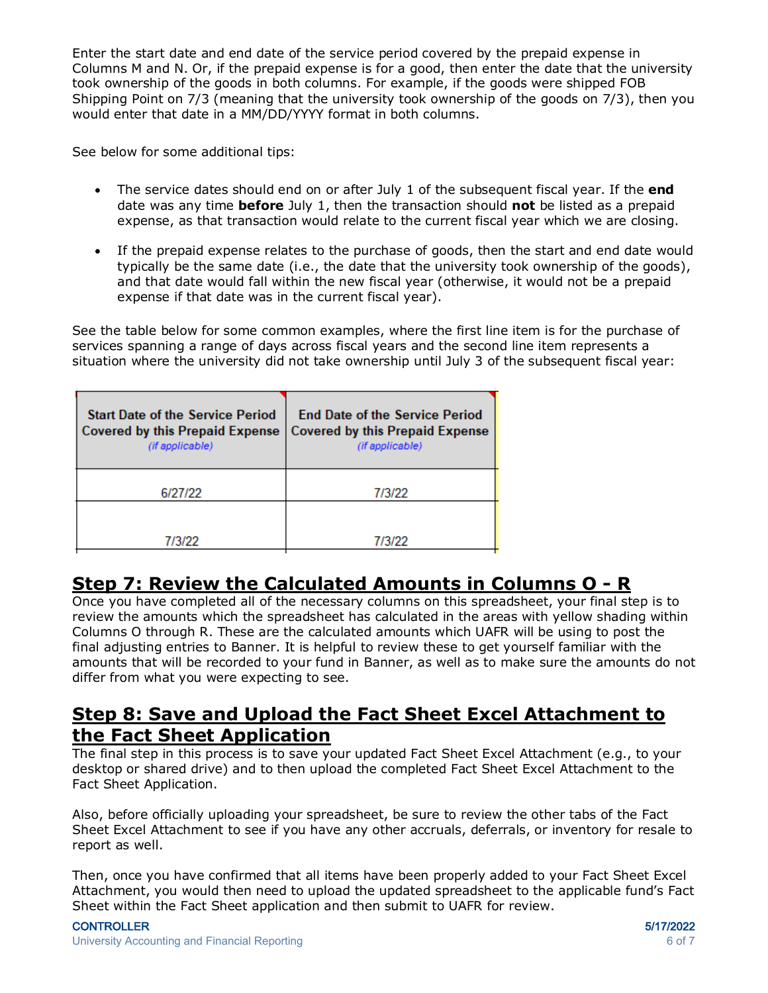Enter the start date and end date of the service period covered by the prepaid expense in Columns M and N. Or, if the prepaid expense is for a good, then enter the date that the university took ownership of the goods in both columns. For example, if the goods were shipped FOB Shipping Point on 7/3 (meaning that the university took ownership of the goods on 7/3), then you would enter that date in a MM/DD/YYYY format in both columns.

See below for some additional tips:

- The service dates should end on or after July 1 of the subsequent fiscal year. If the **end** date was any time **before** July 1, then the transaction should **not** be listed as a prepaid expense, as that transaction would relate to the current fiscal year which we are closing.
- If the prepaid expense relates to the purchase of goods, then the start and end date would typically be the same date (i.e., the date that the university took ownership of the goods), and that date would fall within the new fiscal year (otherwise, it would not be a prepaid expense if that date was in the current fiscal year).

See the table below for some common examples, where the first line item is for the purchase of services spanning a range of days across fiscal years and the second line item represents a situation where the university did not take ownership until July 3 of the subsequent fiscal year:

| <b>Start Date of the Service Period</b><br><b>Covered by this Prepaid Expense</b><br>(if applicable) | <b>End Date of the Service Period</b><br><b>Covered by this Prepaid Expense</b><br>(if applicable) |
|------------------------------------------------------------------------------------------------------|----------------------------------------------------------------------------------------------------|
| 6/27/22                                                                                              | 7/3/22                                                                                             |
|                                                                                                      |                                                                                                    |
| 7/3/22                                                                                               | 7/3/22                                                                                             |

## **Step 7: Review the Calculated Amounts in Columns O - R**

Once you have completed all of the necessary columns on this spreadsheet, your final step is to review the amounts which the spreadsheet has calculated in the areas with yellow shading within Columns O through R. These are the calculated amounts which UAFR will be using to post the final adjusting entries to Banner. It is helpful to review these to get yourself familiar with the amounts that will be recorded to your fund in Banner, as well as to make sure the amounts do not differ from what you were expecting to see.

#### **Step 8: Save and Upload the Fact Sheet Excel Attachment to the Fact Sheet Application**

The final step in this process is to save your updated Fact Sheet Excel Attachment (e.g., to your desktop or shared drive) and to then upload the completed Fact Sheet Excel Attachment to the Fact Sheet Application.

Also, before officially uploading your spreadsheet, be sure to review the other tabs of the Fact Sheet Excel Attachment to see if you have any other accruals, deferrals, or inventory for resale to report as well.

Then, once you have confirmed that all items have been properly added to your Fact Sheet Excel Attachment, you would then need to upload the updated spreadsheet to the applicable fund's Fact Sheet within the Fact Sheet application and then submit to UAFR for review.

#### CONTROLLER 5/17/2022